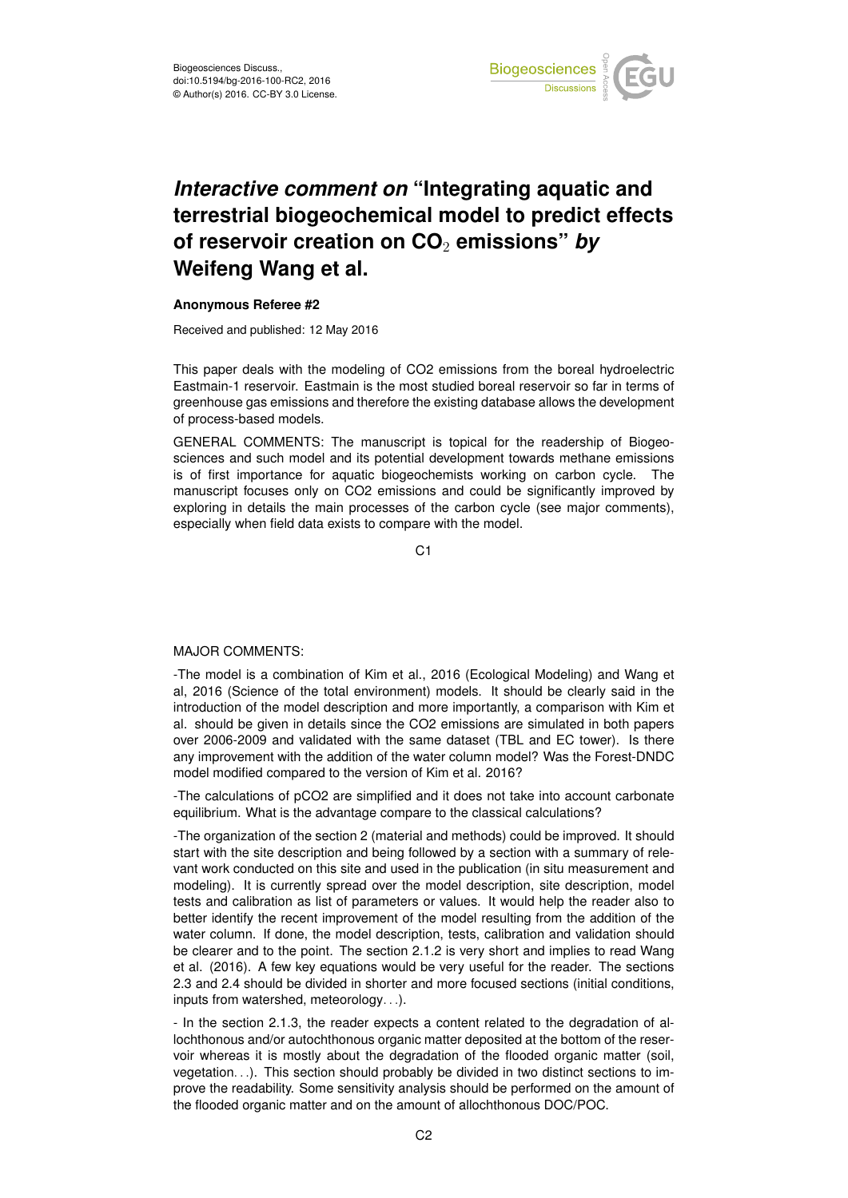

## *Interactive comment on* **"Integrating aquatic and terrestrial biogeochemical model to predict effects of reservoir creation on CO**<sup>2</sup> **emissions"** *by* **Weifeng Wang et al.**

## **Anonymous Referee #2**

Received and published: 12 May 2016

This paper deals with the modeling of CO2 emissions from the boreal hydroelectric Eastmain-1 reservoir. Eastmain is the most studied boreal reservoir so far in terms of greenhouse gas emissions and therefore the existing database allows the development of process-based models.

GENERAL COMMENTS: The manuscript is topical for the readership of Biogeosciences and such model and its potential development towards methane emissions is of first importance for aquatic biogeochemists working on carbon cycle. The manuscript focuses only on CO2 emissions and could be significantly improved by exploring in details the main processes of the carbon cycle (see major comments), especially when field data exists to compare with the model.

C<sub>1</sub>

## MAJOR COMMENTS:

-The model is a combination of Kim et al., 2016 (Ecological Modeling) and Wang et al, 2016 (Science of the total environment) models. It should be clearly said in the introduction of the model description and more importantly, a comparison with Kim et al. should be given in details since the CO2 emissions are simulated in both papers over 2006-2009 and validated with the same dataset (TBL and EC tower). Is there any improvement with the addition of the water column model? Was the Forest-DNDC model modified compared to the version of Kim et al. 2016?

-The calculations of pCO2 are simplified and it does not take into account carbonate equilibrium. What is the advantage compare to the classical calculations?

-The organization of the section 2 (material and methods) could be improved. It should start with the site description and being followed by a section with a summary of relevant work conducted on this site and used in the publication (in situ measurement and modeling). It is currently spread over the model description, site description, model tests and calibration as list of parameters or values. It would help the reader also to better identify the recent improvement of the model resulting from the addition of the water column. If done, the model description, tests, calibration and validation should be clearer and to the point. The section 2.1.2 is very short and implies to read Wang et al. (2016). A few key equations would be very useful for the reader. The sections 2.3 and 2.4 should be divided in shorter and more focused sections (initial conditions, inputs from watershed, meteorology. . .).

- In the section 2.1.3, the reader expects a content related to the degradation of allochthonous and/or autochthonous organic matter deposited at the bottom of the reservoir whereas it is mostly about the degradation of the flooded organic matter (soil, vegetation. . .). This section should probably be divided in two distinct sections to improve the readability. Some sensitivity analysis should be performed on the amount of the flooded organic matter and on the amount of allochthonous DOC/POC.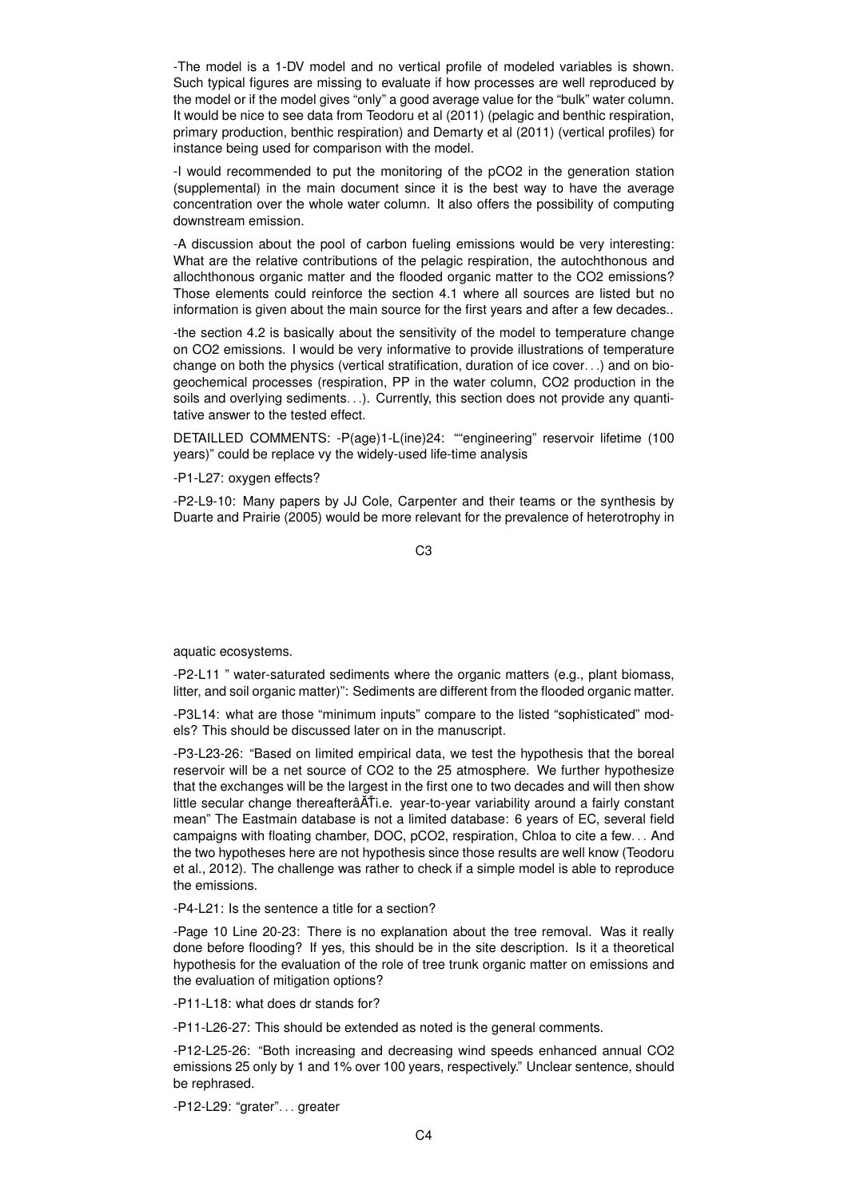-The model is a 1-DV model and no vertical profile of modeled variables is shown. Such typical figures are missing to evaluate if how processes are well reproduced by the model or if the model gives "only" a good average value for the "bulk" water column. It would be nice to see data from Teodoru et al (2011) (pelagic and benthic respiration, primary production, benthic respiration) and Demarty et al (2011) (vertical profiles) for instance being used for comparison with the model.

-I would recommended to put the monitoring of the pCO2 in the generation station (supplemental) in the main document since it is the best way to have the average concentration over the whole water column. It also offers the possibility of computing downstream emission.

-A discussion about the pool of carbon fueling emissions would be very interesting: What are the relative contributions of the pelagic respiration, the autochthonous and allochthonous organic matter and the flooded organic matter to the CO2 emissions? Those elements could reinforce the section 4.1 where all sources are listed but no information is given about the main source for the first years and after a few decades..

-the section 4.2 is basically about the sensitivity of the model to temperature change on CO2 emissions. I would be very informative to provide illustrations of temperature change on both the physics (vertical stratification, duration of ice cover. . .) and on biogeochemical processes (respiration, PP in the water column, CO2 production in the soils and overlying sediments. . .). Currently, this section does not provide any quantitative answer to the tested effect.

DETAILLED COMMENTS: -P(age)1-L(ine)24: ""engineering" reservoir lifetime (100 years)" could be replace vy the widely-used life-time analysis

-P1-L27: oxygen effects?

-P2-L9-10: Many papers by JJ Cole, Carpenter and their teams or the synthesis by Duarte and Prairie (2005) would be more relevant for the prevalence of heterotrophy in

C3

aquatic ecosystems.

-P2-L11 " water-saturated sediments where the organic matters (e.g., plant biomass, litter, and soil organic matter)": Sediments are different from the flooded organic matter.

-P3L14: what are those "minimum inputs" compare to the listed "sophisticated" models? This should be discussed later on in the manuscript.

-P3-L23-26: "Based on limited empirical data, we test the hypothesis that the boreal reservoir will be a net source of CO2 to the 25 atmosphere. We further hypothesize that the exchanges will be the largest in the first one to two decades and will then show little secular change thereafterâĂŤi.e. year-to-year variability around a fairly constant mean" The Eastmain database is not a limited database: 6 years of EC, several field campaigns with floating chamber, DOC, pCO2, respiration, Chloa to cite a few. . . And the two hypotheses here are not hypothesis since those results are well know (Teodoru et al., 2012). The challenge was rather to check if a simple model is able to reproduce the emissions.

-P4-L21: Is the sentence a title for a section?

-Page 10 Line 20-23: There is no explanation about the tree removal. Was it really done before flooding? If yes, this should be in the site description. Is it a theoretical hypothesis for the evaluation of the role of tree trunk organic matter on emissions and the evaluation of mitigation options?

-P11-L18: what does dr stands for?

-P11-L26-27: This should be extended as noted is the general comments.

-P12-L25-26: "Both increasing and decreasing wind speeds enhanced annual CO2 emissions 25 only by 1 and 1% over 100 years, respectively." Unclear sentence, should be rephrased.

-P12-L29: "grater". . . greater